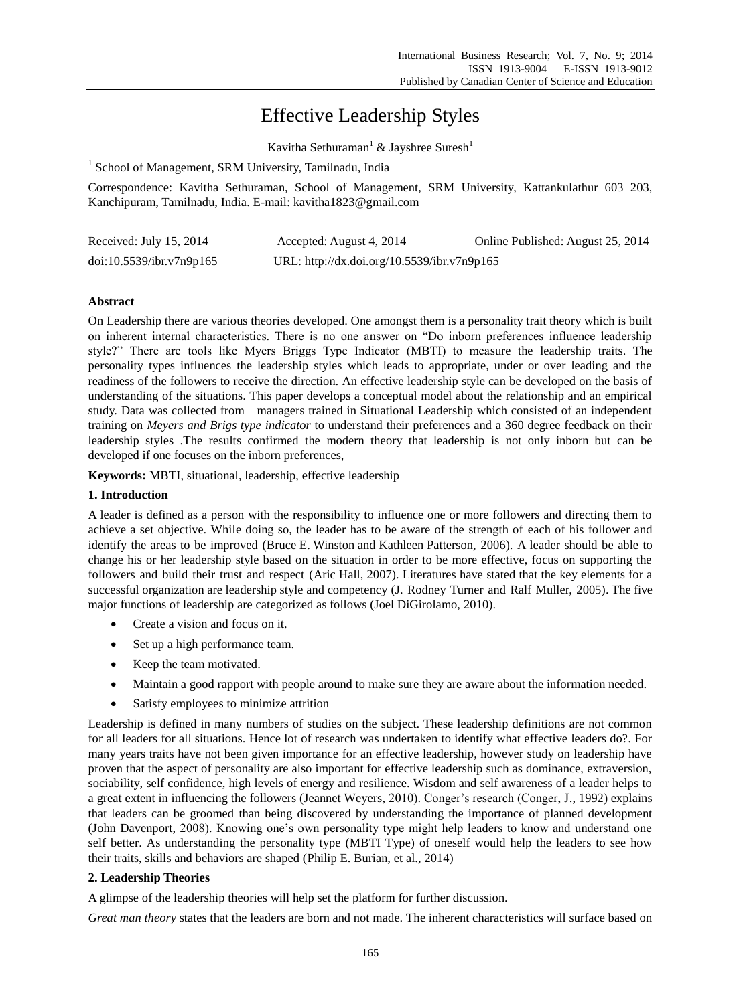# Effective Leadership Styles

Kavitha Sethuraman<sup>1</sup> & Jayshree Suresh<sup>1</sup>

<sup>1</sup> School of Management, SRM University, Tamilnadu, India

Correspondence: Kavitha Sethuraman, School of Management, SRM University, Kattankulathur 603 203, Kanchipuram, Tamilnadu, India. E-mail: kavitha1823@gmail.com

| Received: July 15, 2014  | Accepted: August 4, 2014                    | Online Published: August 25, 2014 |
|--------------------------|---------------------------------------------|-----------------------------------|
| doi:10.5539/ibr.v7n9p165 | URL: http://dx.doi.org/10.5539/ibr.v7n9p165 |                                   |

## **Abstract**

On Leadership there are various theories developed. One amongst them is a personality trait theory which is built on inherent internal characteristics. There is no one answer on "Do inborn preferences influence leadership style?" There are tools like Myers Briggs Type Indicator (MBTI) to measure the leadership traits. The personality types influences the leadership styles which leads to appropriate, under or over leading and the readiness of the followers to receive the direction. An effective leadership style can be developed on the basis of understanding of the situations. This paper develops a conceptual model about the relationship and an empirical study. Data was collected from managers trained in Situational Leadership which consisted of an independent training on *Meyers and Brigs type indicator* to understand their preferences and a 360 degree feedback on their leadership styles .The results confirmed the modern theory that leadership is not only inborn but can be developed if one focuses on the inborn preferences,

**Keywords:** MBTI, situational, leadership, effective leadership

## **1. Introduction**

A leader is defined as a person with the responsibility to influence one or more followers and directing them to achieve a set objective. While doing so, the leader has to be aware of the strength of each of his follower and identify the areas to be improved (Bruce E. Winston and Kathleen Patterson, 2006). A leader should be able to change his or her leadership style based on the situation in order to be more effective, focus on supporting the followers and build their trust and respect (Aric Hall, 2007). Literatures have stated that the key elements for a successful organization are leadership style and competency (J. Rodney Turner and Ralf Muller, 2005). The five major functions of leadership are categorized as follows (Joel DiGirolamo, 2010).

- Create a vision and focus on it.
- Set up a high performance team.
- Keep the team motivated.
- Maintain a good rapport with people around to make sure they are aware about the information needed.
- Satisfy employees to minimize attrition

Leadership is defined in many numbers of studies on the subject. These leadership definitions are not common for all leaders for all situations. Hence lot of research was undertaken to identify what effective leaders do?. For many years traits have not been given importance for an effective leadership, however study on leadership have proven that the aspect of personality are also important for effective leadership such as dominance, extraversion, sociability, self confidence, high levels of energy and resilience. Wisdom and self awareness of a leader helps to a great extent in influencing the followers (Jeannet Weyers, 2010). Conger"s research (Conger, J., 1992) explains that leaders can be groomed than being discovered by understanding the importance of planned development (John Davenport, 2008). Knowing one"s own personality type might help leaders to know and understand one self better. As understanding the personality type (MBTI Type) of oneself would help the leaders to see how their traits, skills and behaviors are shaped (Philip E. Burian, et al., 2014)

# **2. Leadership Theories**

A glimpse of the leadership theories will help set the platform for further discussion.

*Great man theory* states that the leaders are born and not made. The inherent characteristics will surface based on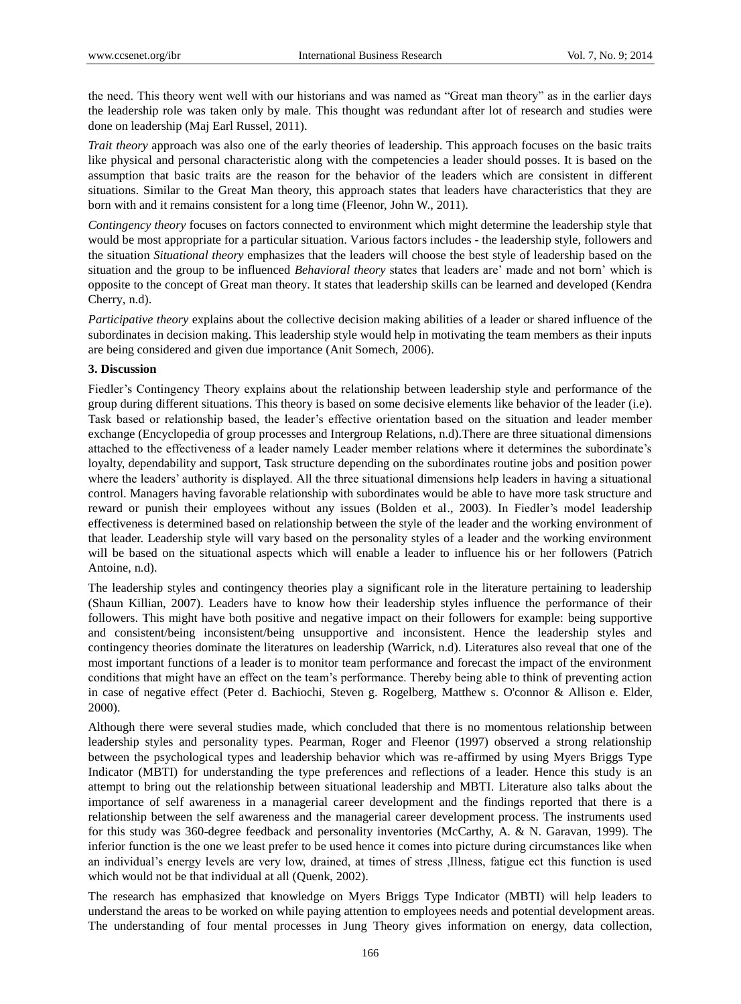the need. This theory went well with our historians and was named as "Great man theory" as in the earlier days the leadership role was taken only by male. This thought was redundant after lot of research and studies were done on leadership (Maj Earl Russel, 2011).

*Trait theory* approach was also one of the early theories of leadership. This approach focuses on the basic traits like physical and personal characteristic along with the competencies a leader should posses. It is based on the assumption that basic traits are the reason for the behavior of the leaders which are consistent in different situations. Similar to the Great Man theory, this approach states that leaders have characteristics that they are born with and it remains consistent for a long time (Fleenor, John W., 2011).

*Contingency theory* focuses on factors connected to environment which might determine the leadership style that would be most appropriate for a particular situation. Various factors includes - the leadership style, followers and the situation *Situational theory* emphasizes that the leaders will choose the best style of leadership based on the situation and the group to be influenced *Behavioral theory* states that leaders are" made and not born" which is opposite to the concept of Great man theory. It states that leadership skills can be learned and developed (Kendra Cherry, n.d).

*Participative theory* explains about the collective decision making abilities of a leader or shared influence of the subordinates in decision making. This leadership style would help in motivating the team members as their inputs are being considered and given due importance (Anit Somech, 2006).

#### **3. Discussion**

Fiedler"s Contingency Theory explains about the relationship between leadership style and performance of the group during different situations. This theory is based on some decisive elements like behavior of the leader (i.e). Task based or relationship based, the leader"s effective orientation based on the situation and leader member exchange (Encyclopedia of group processes and Intergroup Relations, n.d).There are three situational dimensions attached to the effectiveness of a leader namely Leader member relations where it determines the subordinate's loyalty, dependability and support, Task structure depending on the subordinates routine jobs and position power where the leaders' authority is displayed. All the three situational dimensions help leaders in having a situational control. Managers having favorable relationship with subordinates would be able to have more task structure and reward or punish their employees without any issues (Bolden et al., 2003). In Fiedler"s model leadership effectiveness is determined based on relationship between the style of the leader and the working environment of that leader. Leadership style will vary based on the personality styles of a leader and the working environment will be based on the situational aspects which will enable a leader to influence his or her followers (Patrich Antoine, n.d).

The leadership styles and contingency theories play a significant role in the literature pertaining to leadership (Shaun Killian, 2007). Leaders have to know how their leadership styles influence the performance of their followers. This might have both positive and negative impact on their followers for example: being supportive and consistent/being inconsistent/being unsupportive and inconsistent. Hence the leadership styles and contingency theories dominate the literatures on leadership (Warrick, n.d). Literatures also reveal that one of the most important functions of a leader is to monitor team performance and forecast the impact of the environment conditions that might have an effect on the team"s performance. Thereby being able to think of preventing action in case of negative effect (Peter d. Bachiochi, Steven g. Rogelberg, Matthew s. O'connor & Allison e. Elder, 2000).

Although there were several studies made, which concluded that there is no momentous relationship between leadership styles and personality types. Pearman, Roger and Fleenor (1997) observed a strong relationship between the psychological types and leadership behavior which was re-affirmed by using Myers Briggs Type Indicator (MBTI) for understanding the type preferences and reflections of a leader. Hence this study is an attempt to bring out the relationship between situational leadership and MBTI. Literature also talks about the importance of self awareness in a managerial career development and the findings reported that there is a relationship between the self awareness and the managerial career development process. The instruments used for this study was 360-degree feedback and personality inventories (McCarthy, A. & N. Garavan, 1999). The inferior function is the one we least prefer to be used hence it comes into picture during circumstances like when an individual"s energy levels are very low, drained, at times of stress ,Illness, fatigue ect this function is used which would not be that individual at all (Quenk, 2002).

The research has emphasized that knowledge on Myers Briggs Type Indicator (MBTI) will help leaders to understand the areas to be worked on while paying attention to employees needs and potential development areas. The understanding of four mental processes in Jung Theory gives information on energy, data collection,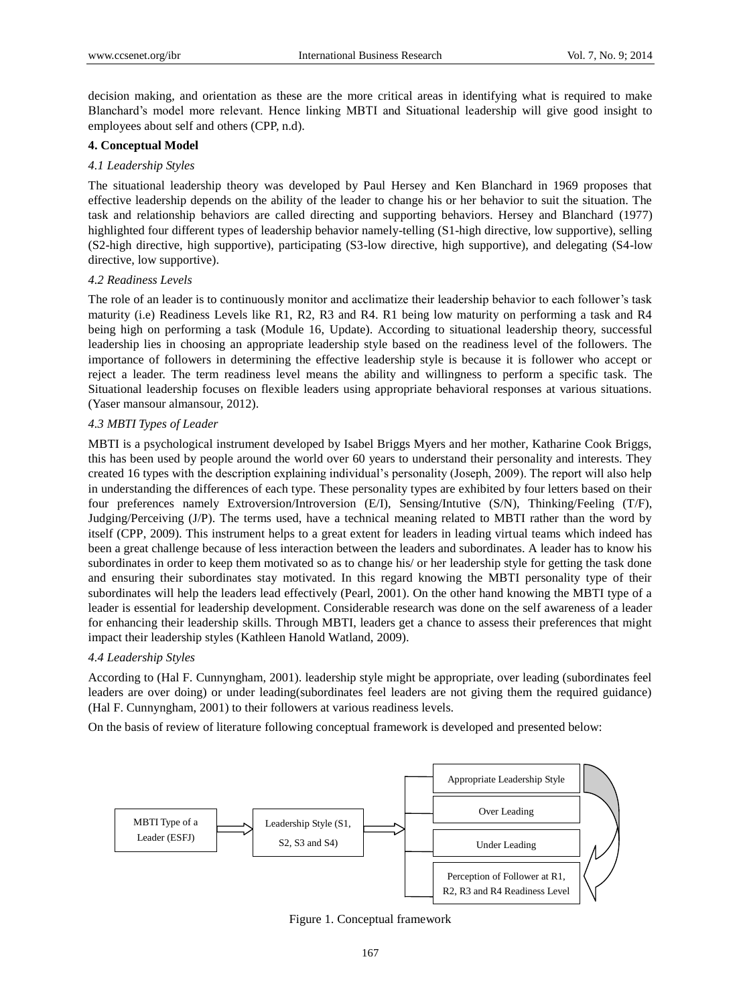decision making, and orientation as these are the more critical areas in identifying what is required to make Blanchard"s model more relevant. Hence linking MBTI and Situational leadership will give good insight to employees about self and others (CPP, n.d).

### **4. Conceptual Model**

### *4.1 Leadership Styles*

The situational leadership theory was developed by Paul Hersey and Ken Blanchard in 1969 proposes that effective leadership depends on the ability of the leader to change his or her behavior to suit the situation. The task and relationship behaviors are called directing and supporting behaviors. Hersey and Blanchard (1977) highlighted four different types of leadership behavior namely-telling (S1-high directive, low supportive), selling (S2-high directive, high supportive), participating (S3-low directive, high supportive), and delegating (S4-low directive, low supportive).

#### *4.2 Readiness Levels*

The role of an leader is to continuously monitor and acclimatize their leadership behavior to each follower's task maturity (i.e) Readiness Levels like R1, R2, R3 and R4. R1 being low maturity on performing a task and R4 being high on performing a task (Module 16, Update). According to situational leadership theory, successful leadership lies in choosing an appropriate leadership style based on the readiness level of the followers. The importance of followers in determining the effective leadership style is because it is follower who accept or reject a leader. The term readiness level means the ability and willingness to perform a specific task. The Situational leadership focuses on flexible leaders using appropriate behavioral responses at various situations. (Yaser mansour almansour, 2012).

# *4.3 MBTI Types of Leader*

MBTI is a psychological instrument developed by Isabel Briggs Myers and her mother, Katharine Cook Briggs, this has been used by people around the world over 60 years to understand their personality and interests. They created 16 types with the description explaining individual"s personality (Joseph, 2009). The report will also help in understanding the differences of each type. These personality types are exhibited by four letters based on their four preferences namely Extroversion/Introversion (E/I), Sensing/Intutive (S/N), Thinking/Feeling (T/F), Judging/Perceiving (J/P). The terms used, have a technical meaning related to MBTI rather than the word by itself (CPP, 2009). This instrument helps to a great extent for leaders in leading virtual teams which indeed has been a great challenge because of less interaction between the leaders and subordinates. A leader has to know his subordinates in order to keep them motivated so as to change his/ or her leadership style for getting the task done and ensuring their subordinates stay motivated. In this regard knowing the MBTI personality type of their subordinates will help the leaders lead effectively (Pearl, 2001). On the other hand knowing the MBTI type of a leader is essential for leadership development. Considerable research was done on the self awareness of a leader for enhancing their leadership skills. Through MBTI, leaders get a chance to assess their preferences that might impact their leadership styles (Kathleen Hanold Watland, 2009).

# *4.4 Leadership Styles*

According to (Hal F. Cunnyngham, 2001). leadership style might be appropriate, over leading (subordinates feel leaders are over doing) or under leading(subordinates feel leaders are not giving them the required guidance) (Hal F. Cunnyngham, 2001) to their followers at various readiness levels.

On the basis of review of literature following conceptual framework is developed and presented below:



Figure 1. Conceptual framework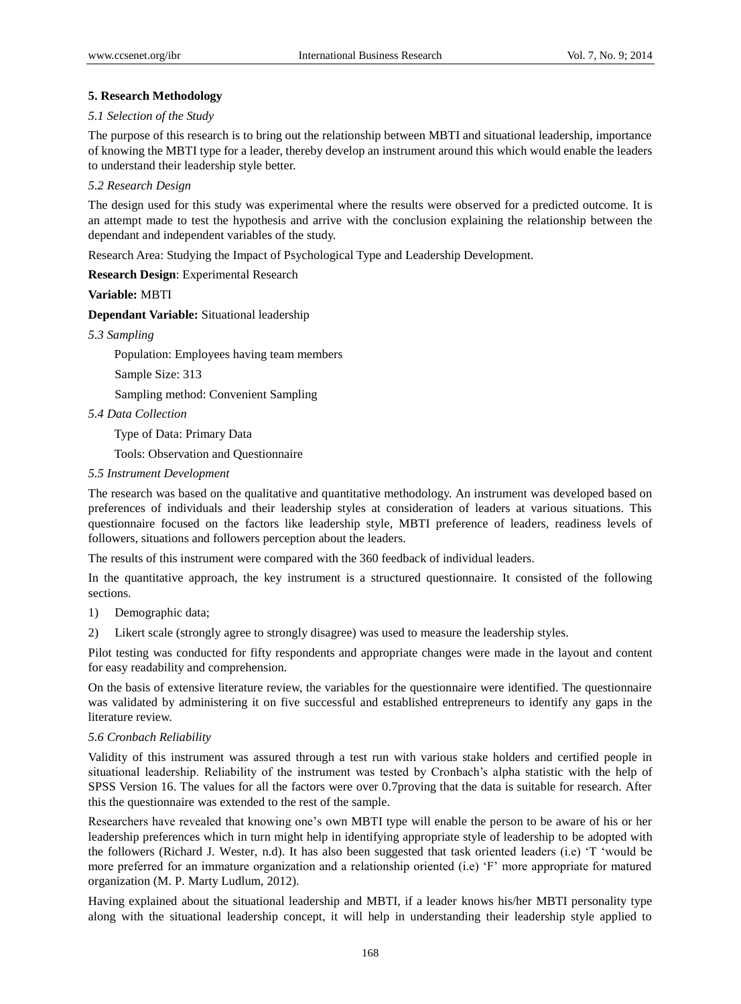# **5. Research Methodology**

# *5.1 Selection of the Study*

The purpose of this research is to bring out the relationship between MBTI and situational leadership, importance of knowing the MBTI type for a leader, thereby develop an instrument around this which would enable the leaders to understand their leadership style better.

# *5.2 Research Design*

The design used for this study was experimental where the results were observed for a predicted outcome. It is an attempt made to test the hypothesis and arrive with the conclusion explaining the relationship between the dependant and independent variables of the study.

Research Area: Studying the Impact of Psychological Type and Leadership Development.

**Research Design**: Experimental Research

**Variable:** MBTI

**Dependant Variable:** Situational leadership

*5.3 Sampling*

Population: Employees having team members

Sample Size: 313

Sampling method: Convenient Sampling

*5.4 Data Collection*

Type of Data: Primary Data

Tools: Observation and Questionnaire

*5.5 Instrument Development*

The research was based on the qualitative and quantitative methodology. An instrument was developed based on preferences of individuals and their leadership styles at consideration of leaders at various situations. This questionnaire focused on the factors like leadership style, MBTI preference of leaders, readiness levels of followers, situations and followers perception about the leaders.

The results of this instrument were compared with the 360 feedback of individual leaders.

In the quantitative approach, the key instrument is a structured questionnaire. It consisted of the following sections.

1) Demographic data;

2) Likert scale (strongly agree to strongly disagree) was used to measure the leadership styles.

Pilot testing was conducted for fifty respondents and appropriate changes were made in the layout and content for easy readability and comprehension.

On the basis of extensive literature review, the variables for the questionnaire were identified. The questionnaire was validated by administering it on five successful and established entrepreneurs to identify any gaps in the literature review.

#### *5.6 Cronbach Reliability*

Validity of this instrument was assured through a test run with various stake holders and certified people in situational leadership. Reliability of the instrument was tested by Cronbach"s alpha statistic with the help of SPSS Version 16. The values for all the factors were over 0.7proving that the data is suitable for research. After this the questionnaire was extended to the rest of the sample.

Researchers have revealed that knowing one"s own MBTI type will enable the person to be aware of his or her leadership preferences which in turn might help in identifying appropriate style of leadership to be adopted with the followers (Richard J. Wester, n.d). It has also been suggested that task oriented leaders (i.e) "T "would be more preferred for an immature organization and a relationship oriented (i.e) "F" more appropriate for matured organization (M. P. Marty Ludlum, 2012).

Having explained about the situational leadership and MBTI, if a leader knows his/her MBTI personality type along with the situational leadership concept, it will help in understanding their leadership style applied to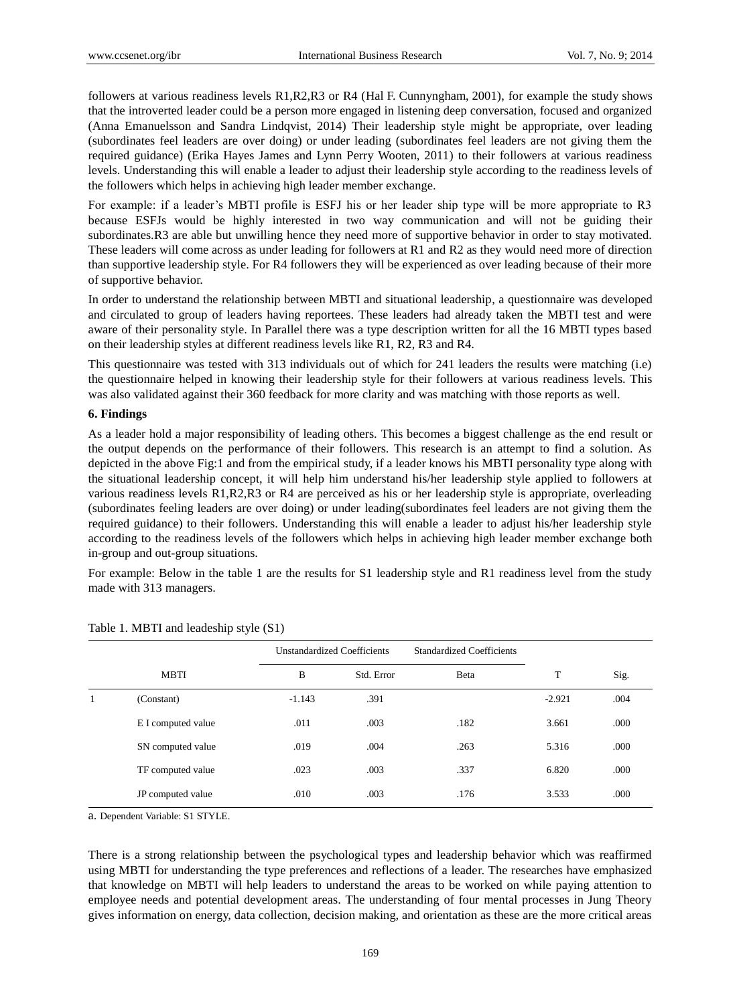followers at various readiness levels R1,R2,R3 or R4 (Hal F. Cunnyngham, 2001), for example the study shows that the introverted leader could be a person more engaged in listening deep conversation, focused and organized (Anna Emanuelsson and Sandra Lindqvist, 2014) Their leadership style might be appropriate, over leading (subordinates feel leaders are over doing) or under leading (subordinates feel leaders are not giving them the required guidance) (Erika Hayes James and Lynn Perry Wooten, 2011) to their followers at various readiness levels. Understanding this will enable a leader to adjust their leadership style according to the readiness levels of the followers which helps in achieving high leader member exchange.

For example: if a leader's MBTI profile is ESFJ his or her leader ship type will be more appropriate to R3 because ESFJs would be highly interested in two way communication and will not be guiding their subordinates.R3 are able but unwilling hence they need more of supportive behavior in order to stay motivated. These leaders will come across as under leading for followers at R1 and R2 as they would need more of direction than supportive leadership style. For R4 followers they will be experienced as over leading because of their more of supportive behavior.

In order to understand the relationship between MBTI and situational leadership, a questionnaire was developed and circulated to group of leaders having reportees. These leaders had already taken the MBTI test and were aware of their personality style. In Parallel there was a type description written for all the 16 MBTI types based on their leadership styles at different readiness levels like R1, R2, R3 and R4.

This questionnaire was tested with 313 individuals out of which for 241 leaders the results were matching (i.e) the questionnaire helped in knowing their leadership style for their followers at various readiness levels. This was also validated against their 360 feedback for more clarity and was matching with those reports as well.

#### **6. Findings**

As a leader hold a major responsibility of leading others. This becomes a biggest challenge as the end result or the output depends on the performance of their followers. This research is an attempt to find a solution. As depicted in the above Fig:1 and from the empirical study, if a leader knows his MBTI personality type along with the situational leadership concept, it will help him understand his/her leadership style applied to followers at various readiness levels R1,R2,R3 or R4 are perceived as his or her leadership style is appropriate, overleading (subordinates feeling leaders are over doing) or under leading(subordinates feel leaders are not giving them the required guidance) to their followers. Understanding this will enable a leader to adjust his/her leadership style according to the readiness levels of the followers which helps in achieving high leader member exchange both in-group and out-group situations.

For example: Below in the table 1 are the results for S1 leadership style and R1 readiness level from the study made with 313 managers.

|   |                    | <b>Unstandardized Coefficients</b> |            | <b>Standardized Coefficients</b> |          |      |
|---|--------------------|------------------------------------|------------|----------------------------------|----------|------|
|   | <b>MBTI</b>        | B                                  | Std. Error | Beta                             | T        | Sig. |
| 1 | (Constant)         | $-1.143$                           | .391       |                                  | $-2.921$ | .004 |
|   | E I computed value | .011                               | .003       | .182                             | 3.661    | .000 |
|   | SN computed value  | .019                               | .004       | .263                             | 5.316    | .000 |
|   | TF computed value  | .023                               | .003       | .337                             | 6.820    | .000 |
|   | JP computed value  | .010                               | .003       | .176                             | 3.533    | .000 |

Table 1. MBTI and leadeship style (S1)

a. Dependent Variable: S1 STYLE.

There is a strong relationship between the psychological types and leadership behavior which was reaffirmed using MBTI for understanding the type preferences and reflections of a leader. The researches have emphasized that knowledge on MBTI will help leaders to understand the areas to be worked on while paying attention to employee needs and potential development areas. The understanding of four mental processes in Jung Theory gives information on energy, data collection, decision making, and orientation as these are the more critical areas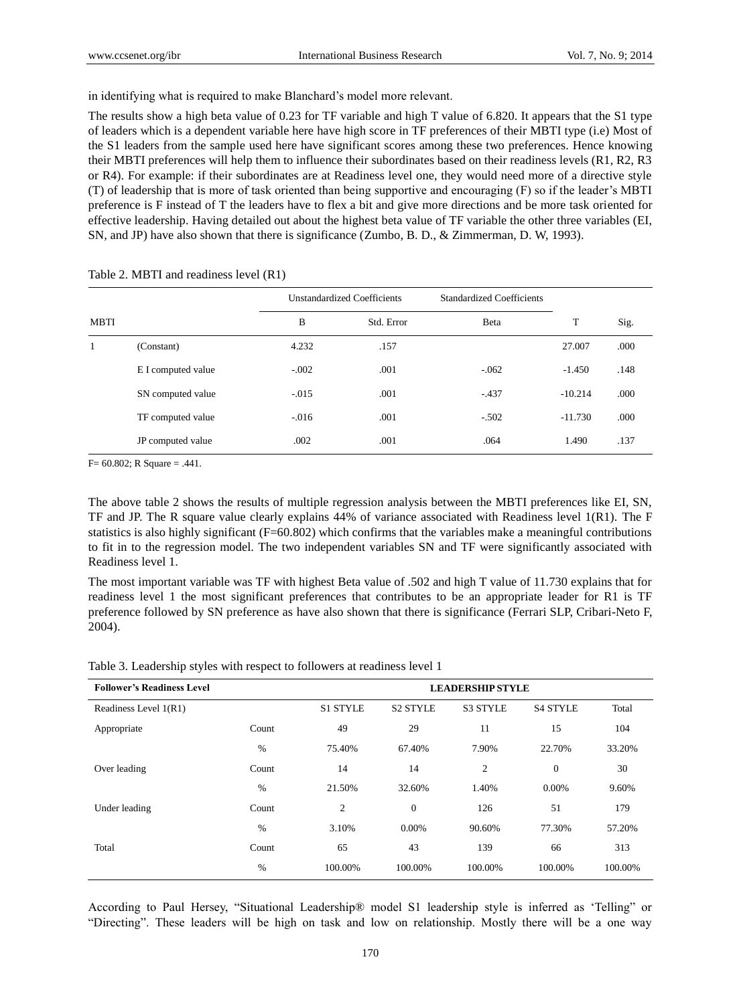in identifying what is required to make Blanchard"s model more relevant.

The results show a high beta value of 0.23 for TF variable and high T value of 6.820. It appears that the S1 type of leaders which is a dependent variable here have high score in TF preferences of their MBTI type (i.e) Most of the S1 leaders from the sample used here have significant scores among these two preferences. Hence knowing their MBTI preferences will help them to influence their subordinates based on their readiness levels (R1, R2, R3 or R4). For example: if their subordinates are at Readiness level one, they would need more of a directive style (T) of leadership that is more of task oriented than being supportive and encouraging (F) so if the leader"s MBTI preference is F instead of T the leaders have to flex a bit and give more directions and be more task oriented for effective leadership. Having detailed out about the highest beta value of TF variable the other three variables (EI, SN, and JP) have also shown that there is significance (Zumbo, B. D., & Zimmerman, D. W, 1993).

|             |                    | <b>Unstandardized Coefficients</b> |            | Standardized Coefficients |           |      |
|-------------|--------------------|------------------------------------|------------|---------------------------|-----------|------|
| <b>MBTI</b> |                    | B                                  | Std. Error | Beta                      | T         | Sig. |
| 1           | (Constant)         | 4.232                              | .157       |                           | 27.007    | .000 |
|             | E I computed value | $-.002$                            | .001       | $-.062$                   | $-1.450$  | .148 |
|             | SN computed value  | $-.015$                            | .001       | $-.437$                   | $-10.214$ | .000 |
|             | TF computed value  | $-.016$                            | .001       | $-.502$                   | $-11.730$ | .000 |
|             | JP computed value  | .002                               | .001       | .064                      | 1.490     | .137 |

Table 2. MBTI and readiness level (R1)

F= 60.802; R Square = .441.

The above table 2 shows the results of multiple regression analysis between the MBTI preferences like EI, SN, TF and JP. The R square value clearly explains 44% of variance associated with Readiness level 1(R1). The F statistics is also highly significant (F=60.802) which confirms that the variables make a meaningful contributions to fit in to the regression model. The two independent variables SN and TF were significantly associated with Readiness level 1.

The most important variable was TF with highest Beta value of .502 and high T value of 11.730 explains that for readiness level 1 the most significant preferences that contributes to be an appropriate leader for R1 is TF preference followed by SN preference as have also shown that there is significance (Ferrari SLP, Cribari-Neto F, 2004).

| <b>Follower's Readiness Level</b> |       | <b>LEADERSHIP STYLE</b> |                 |                |                 |         |
|-----------------------------------|-------|-------------------------|-----------------|----------------|-----------------|---------|
| Readiness Level 1(R1)             |       | <b>S1 STYLE</b>         | <b>S2 STYLE</b> | S3 STYLE       | <b>S4 STYLE</b> | Total   |
| Appropriate                       | Count | 49                      | 29              | 11             | 15              | 104     |
|                                   | $\%$  | 75.40%                  | 67.40%          | 7.90%          | 22.70%          | 33.20%  |
| Over leading                      | Count | 14                      | 14              | $\mathfrak{2}$ | $\theta$        | 30      |
|                                   | $\%$  | 21.50%                  | 32.60%          | 1.40%          | 0.00%           | 9.60%   |
| Under leading                     | Count | 2                       | $\overline{0}$  | 126            | 51              | 179     |
|                                   | $\%$  | 3.10%                   | 0.00%           | 90.60%         | 77.30%          | 57.20%  |
| Total                             | Count | 65                      | 43              | 139            | 66              | 313     |
|                                   | %     | 100.00%                 | 100.00%         | 100.00%        | 100.00%         | 100.00% |

According to Paul Hersey, "Situational Leadership® model S1 leadership style is inferred as "Telling" or "Directing". These leaders will be high on task and low on relationship. Mostly there will be a one way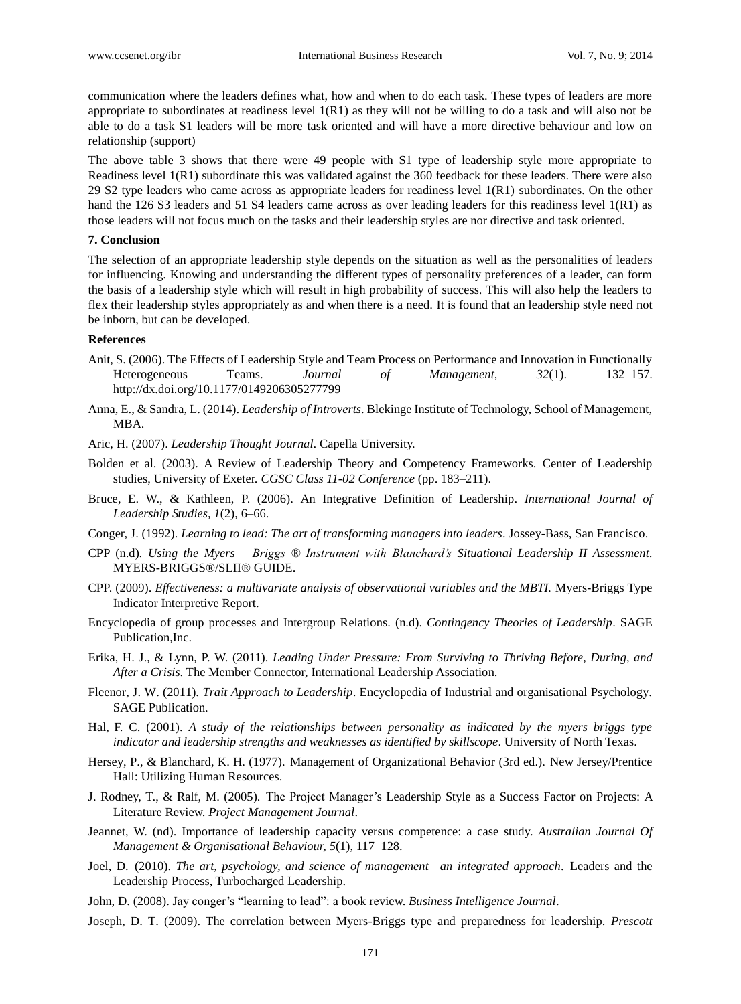communication where the leaders defines what, how and when to do each task. These types of leaders are more appropriate to subordinates at readiness level 1(R1) as they will not be willing to do a task and will also not be able to do a task S1 leaders will be more task oriented and will have a more directive behaviour and low on relationship (support)

The above table 3 shows that there were 49 people with S1 type of leadership style more appropriate to Readiness level 1(R1) subordinate this was validated against the 360 feedback for these leaders. There were also 29 S2 type leaders who came across as appropriate leaders for readiness level 1(R1) subordinates. On the other hand the 126 S3 leaders and 51 S4 leaders came across as over leading leaders for this readiness level 1(R1) as those leaders will not focus much on the tasks and their leadership styles are nor directive and task oriented.

#### **7. Conclusion**

The selection of an appropriate leadership style depends on the situation as well as the personalities of leaders for influencing. Knowing and understanding the different types of personality preferences of a leader, can form the basis of a leadership style which will result in high probability of success. This will also help the leaders to flex their leadership styles appropriately as and when there is a need. It is found that an leadership style need not be inborn, but can be developed.

#### **References**

- Anit, S. (2006). The Effects of Leadership Style and Team Process on Performance and Innovation in Functionally Heterogeneous Teams. *Journal of Management, 32*(1). 132–157. http://dx.doi.org/10.1177/0149206305277799
- Anna, E., & Sandra, L. (2014). *Leadership of Introverts*. Blekinge Institute of Technology, School of Management, MBA.
- Aric, H. (2007). *Leadership Thought Journal*. Capella University.
- Bolden et al. (2003). A Review of Leadership Theory and Competency Frameworks. Center of Leadership studies, University of Exeter. *CGSC Class 11-02 Conference* (pp. 183–211).
- Bruce, E. W., & Kathleen, P. (2006). An Integrative Definition of Leadership. *International Journal of Leadership Studies, 1*(2), 6–66.
- Conger, J. (1992). *Learning to lead: The art of transforming managers into leaders*. Jossey-Bass, San Francisco.
- CPP (n.d)*. Using the Myers – Briggs ® Instrument with Blanchard's Situational Leadership II Assessment.*  MYERS-BRIGGS®/SLII® GUIDE.
- CPP. (2009). *Effectiveness: a multivariate analysis of observational variables and the MBTI.* Myers-Briggs Type Indicator Interpretive Report.
- Encyclopedia of group processes and Intergroup Relations. (n.d). *Contingency Theories of Leadership*. SAGE Publication,Inc.
- Erika, H. J., & Lynn, P. W. (2011). *Leading Under Pressure: From Surviving to Thriving Before, During, and After a Crisis*. The Member Connector, International Leadership Association.
- Fleenor, J. W. (2011). *Trait Approach to Leadership*. Encyclopedia of Industrial and organisational Psychology. SAGE Publication.
- Hal, F. C. (2001). *A study of the relationships between personality as indicated by the myers briggs type indicator and leadership strengths and weaknesses as identified by skillscope*. University of North Texas.
- Hersey, P., & Blanchard, K. H. (1977). Management of Organizational Behavior (3rd ed.). New Jersey/Prentice Hall: Utilizing Human Resources.
- J. Rodney, T., & Ralf, M. (2005). The Project Manager"s Leadership Style as a Success Factor on Projects: A Literature Review. *Project Management Journal*.
- Jeannet, W. (nd). Importance of leadership capacity versus competence: a case study. *Australian Journal Of Management & Organisational Behaviour, 5*(1), 117–128.
- Joel, D. (2010). *The art, psychology, and science of management—an integrated approach*. Leaders and the Leadership Process, Turbocharged Leadership.
- John, D. (2008). Jay conger"s "learning to lead": a book review. *Business Intelligence Journal*.
- Joseph, D. T. (2009). The correlation between Myers-Briggs type and preparedness for leadership. *Prescott*